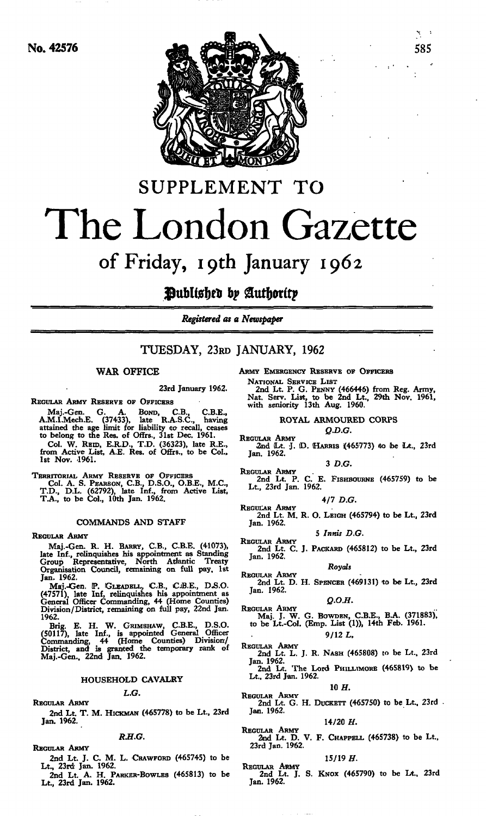

# SUPPLEMENT TO The London Gazette

## of Friday, ipth January 1962

### **Published by Authority**

*Registered as a Newspaper*

### TUESDAY, 23RD JANUARY, 1962

#### WAR OFFICE

23rd January 1962.

REGULAR ARMY RESERVE OF OFFICERS

Maj.-Gen. G. A. BOND, C.B., C.B.E.,<br>A.M.I.Mech.E. (37433), late R.A.S.C., having<br>attained the age limit for liability to recall, ceases to belong to the Res. of Offrs., 31st Dec. 1961. Col. W. REID, E.R.D., T.D. (36323), late R.E., from Active List, A.E. Res. of Offrs., to be Col., 1st Nov. 1961.

TERRITORIAL ARMY RESERVE OF OFFICERS Col. A. S. PEARSON, C.B., D.S.O., O.B.E., M.C., T.D., D.L. (62792), late Inf., from Active List, T.A., to be Col., 10th Jan. 1962.

#### COMMANDS AND STAFF

#### REGULAR ARMY

Maj.-Gen. R. H. BARRY, C.B., C.B.E. (4-1073), late Inf., relinquishes his appointment as Standing Group Representative, North Atlantic Treaty Organisation Council, remaining on full pay. 1st Jan. 1962.

Maj.-Gen. DP. GLEADELL, C.B., CiB.E., D.S.O. (47571), late Inf, relinquishes his appointment as General Officer Commanding, 44 (Home Counties) Division/District, remaining on full pay, 22nd Jan. 1962.

Brig. E. H. W. GRIMSHAW, C.B.E., D.S.O. (50117), late Inf., is appointed General Officer Commanding, 44 (Home Counties) Division/ District, and is granted the temporary rank of Maj.-Gen., 22nd Jan. 1962.

### HOUSEHOLD CAVALRY L.G.

REGULAR ARMY

2nd Lt. T. M. HICKMAN (465778) to be Lt., 23rd Jan. 1962.

*R.H.G.*

#### REGULAR ARMY

- 2nd Lt. J. C. M. L. CRAWFORD (465745) to be Lt., 23rd Jan. 1962.
- 2nd Lt. A. H. PARKER-BOWLES (465813) to be Lt., 23rd Jan. 1962.

ARMY EMERGENCY RESERVE OF OFFICERS

NATIONAL SERVICE LIST 2nd Lt. P. G. PENNY (466446) from Reg. Army, Nat. Serv. List, to be 2nd Lt., 29th Nov. 1961, with seniority 13th Aug. 1960.

#### ROYAL ARMOURED CORPS

*Q.D.G.*

REGULAR ARMY<br>2nd Lt. J. D. HARRIS (465773) to be Lt., 23rd<br>Jan. 1962.

3 *D.G.*

REGULAR ARMY 2nd Lt. P. C. E. FISHBOURNE (465759) to be Lt., 23rd Jan. 1962.

4/7 *D.G.*

REGULAR ARMY 2nd Lt. M. R. O. LEIGH (465794) to be Lt., 23rd Jan. 1962.

5 *Innis D.G.*

REGULAR ARMY 2nd Lt. C. J. PACKARD (465812) to be Lt., 23rd Jan. 1962.

Royals<br>
Regular Army<br>
2nd Lt. D. H. Spencer (469131) to be Lt., 23rd Jan. 1962.

$$
Q.O.H.
$$

- *Q.O.H.*<br>
REGULAR ARMY<br>
Maj. J. W. G. BOWDEN, C.B.E., B.A. (371883),<br>
to be Lt.-Col. (Emp. List (1)), 14th Feb. 1961. 9/12 *L,*
- REGULAR ARMY 2nd Lt. L. J. R. NASH (465808) to be Lt., 23rd Jan. 1962.<br>
2nd Lt. The Lord PHILLIMORE (465819) to be Lt., 23rd Jan. 1962.
	- 10 *H,*
- REGULAR ARMY 2nd Lt. G. H. DUCKETT (465750) to be Lt.. 23rd Jan. 1962.

#### 14/20 *H.*

REGULAR ARMY 2nd Lt. D. V. F. CHAPPELL (465738) to be Lt., 23rd Jan. 1962.

#### 15/19 *H.*

REGULAR ARMY 2nd Lt. J. S. KNOX (465790) to be Lt., 23rd Jan. 1962.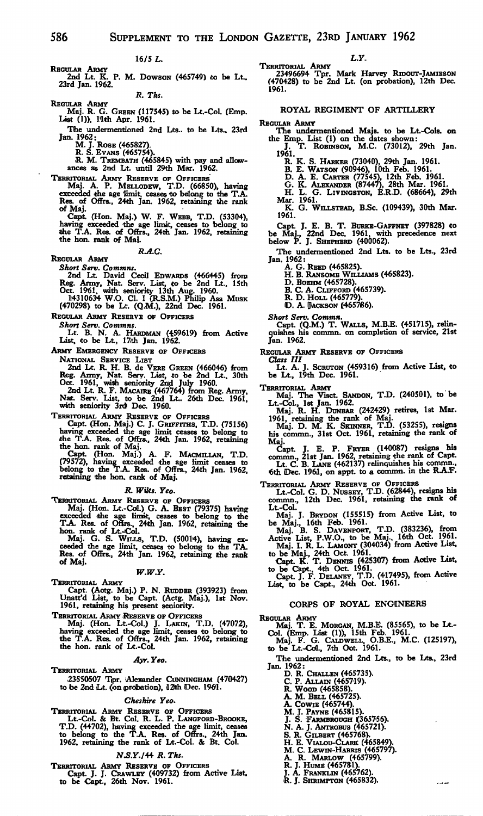REGULAR ARMY<br>2nd Lt. K. P. M. Dowson (465749) to be Lt.,<br>23rd Jan. 1962.

*R. Tks.*

REGULAR ARMY Maj. R. G. GREEN {117545) .to be Lt.-Col. (Emp. List (1)), 1 lth Apr. 1961.

The undermentioned 2nd Lts.. to be Lts.. 23rd Jan. 1962:

M. J. ROSE (465827). R. S. EVANS (465754).

R. M. TREMBATH (465845) with pay and allow-ances as 2nd Lt. until 29th Mar. 1962.

TERRITORIAL ARMY RESERVE OF OFFICERS<br>Maj. A. P. MELLODEW, T.D. (66850), having<br>exceeded the age limit, ceases to belong to the T.A.<br>Res. of Offrs., 24th Jan. 1962, retaining the rank of Maj.

Cap\*. (Hon. Maj.) W. F. WEBB, T.D. (53304), having exceeded the age limit, ceases to belong to the T.A. Res. of Offrs., 24th Jan. 1962, retaining the ban. rank of Maj.

#### *R.A.C.*

REGULAR ARMY

Short Serv. Commas.<br>
2nd Lt. David Cecil EDWARDS (466445) from<br>
Reg. Army, Nat. Scrv. List, to be 2nd Lt., 15th<br>
Oct. 1961, with seniority 13th Aug. 1960.<br>
14310634 W.O. Cl. I (R.S.M.) Philip Asa Musk<br>
(470298) to be Lt. (

REGULAR ARMY RESERVE OF OFFICERS

*Short Serv. Commns.*

Lt. B. N. A. HARDMAN (459619) from Active<br>List, to be Lt., 17th Jan. 1962.

ARMY EMERGENCY RESERVE OF OFFICERS

NATIONAL SERVICE LIST<br>
2nd Lt. R. H. B. de VERE GREEN (466046) from<br>
Reg. Army, Nat. Serv. List, to be 2nd Lt., 30th<br>
Oct. 1961, with seniority 2nd July 1960.<br>
2nd Lt. R. F. MACARE (467764) from Reg. Army,<br>
Nat. Serv. List

TERRITORIAL ARMY RESERVE OF OFFICERS

Capt. (Hon. Maj.) C. J. GRIFFITHS, T.D. (75156)<br>having exceeded the age limit ceases to belong to<br>the T.A. Res. of Offrs., 24th Jan. 1962, retaining<br>the hon. rank of Maj.<br>Capt. (Hon. Maj.) A. F. MACMILLAN, T.D.<br>Capt. (Hon.

#### *R. Wilts. Yeo.*

TERRITORIAL ARMY RESERVE OF OFFICERS<br>Maj. (Hon. Lt.-Col.) G. A. BEST (79375) having<br>exceeded the age limit, ceases to belong to the<br>T.A. Res. of Offics., 24th Jan. 1962, retaining the<br>hon. rank of Lt.-Col.<br>Maj. G. S. WILLS

Res. of Offrs., 24th Jan. 1962, retaining ithe rank of Maj.

#### *W.W.Y.*

TERRITORIAL ARMY

Capt. (Aotg. Maj.) P. N. RUDDER (393923) from Unatt'd List, to be Capt. (Actg. Maj.), 1st Nov. 1961. retaining his present seniority.

TERRITORIAL ARMY 'RESERVE OF OFFICERS Maj. (Hon. Lt.-Col.) J. LAKIN, T.D. (47072), having exceeded the age limit, ceases to belong to the T.A. Res. of Offrs., 24th Jan. 1962, retaining the hon. rank of Lt.-Col.

#### *Ayr. Yeo.*

TERRITORIAL ARMY<br>23550507 Tipr. (Alexander CUNNINGHAM (470427)<br>to be 2nd Lt. (on probation), il 2th Dec. 1961.

#### *Cheshire Yeo.*

TERRITORIAL ARMY RESERVE OF OFFICERS Lt.-Col. & Bt. Col. R. L. P. LANGFORD-BROOKE, T.D. (44702), having exceeded the age limit, ceases to belong to the T.A. Res. of Offrs., 24th Jan. 1962. retaining the rank of Lt.-Col. & Bt. Col.

#### AT.S.F./44 *R. Tks.*

TERRITORIAL ARMY RESERVE OF OFFICERS Capt. J. J. CRAWLEY (409732) from Active List, to be Capt., 26th Nov. 1961.

TERRITORIAL ARMY 23496694 Tpr. Mark Harvey RIDOUT-JAMIESON (470428) to be 2nd Lt. (on probation), 12th Dec. 1961.

#### ROYAL REGIMENT OF ARTILLERY

REGULAR ARMY

The undermentioned Majs. to be Lt.-Cols. on<br>the Emp. List (1) on the dates shown:<br>J. T. ROBINSON, M.C. (73012), 29th Jan.

1961. R. K. S. HARKER (73040), 29th Jan. 1961.

- 
- B. E. WATSON (90946), 10th Feb. 1961. D. A. E. CARTER (77545), 12th Feb. 1961.
- 
- G. K. ALEXANDER (87447), 28th Mar. 1961. H. L. G. LIVINGSTON, E.R.D. (68664), 29th
- Mar. 1961. K. G. WILLSTEAD, B.Sc. (109439), 30th Mar.
- 1961.

Capt. J. E. B. T. BURKE-GAFFNEY (397828) to be Maj., 22nd Dec. 1961, with precedence next below P. J. SHEPHERD (400062).

The undermentioned 2nd Lts. to be Lts., 23rd Jan. 1962: A. G. REED (465825). H. B. RANSOMS WILLIAMS (465823).

D. BOEHM (465728). B. C. A. CLIFFORD (465739). R. D. HOLL (465779).

D. A. UIACKSON (465786).

*Short Serv. Commit.* Capt. (Q.M.) T. WALLS, M.B.E. (451715), relin-quishes his commn. on completion of service, 21st Jan. 1962.

REGULAR ARMY RESERVE OF OFFICERS

*Class III* Lt. A. J. SCRUTON (459316) from Active List, to be Lt., 19th Dec. 1961.

TERRITORIAL ARMY Maj. The Visct. SANDON, T.D. (240501), to be Lt.-Col., 1st Jan. 1962. Maj. R. H. DUNBAR (242429) retires, 1st Mar.

1961, retaining the rank of Maj. Maj. D. M. K. SKINNER, T.D. (53255), resigns his commn., 31st Oct. 1961, retaining the rank of

Maj. Capt. J. E. P. FRYER (140087) resigns his<br>commn., 21st Jan. 1962, retaining the rank of Capt.<br>Lt. C. B. LANE (462137) relinquishes his commn.,<br>6th Dec. 1961, on appt. to a commn. in the R.A.F.

TERRITORIAL ARMY RESERVE OF OFFICERS Lt.-Col. G. D. NUSSEY, T.D. (62844), resigns his commn., 12th Dec. 1961, retaining the rank of Lt.-Col. Maj. J. BRYDON (155515) from Active List, to

be Maj., 16th Feb. 1961.<br>Maj. B. S. DAVENPORT, T.D. (383236), from<br>Active List, P.W.O., to be Maj., 16th Oct. 1961.<br>Maj. I. R. L. LAMONT (304034) from Active List,

to be Maj., 24th Oct. 1961.<br>Capt. K. T. DENNIS (425307) from Active List,

to be Capt.. 4th Oct. 1961. Capt. J. F. DELANEY. T.D. (417495), from Active List, to be Capt., 24th Oct. 1961.

#### CORPS OF ROYAL ENGINEERS

REGULAR ARMY<br>
Maj. T. E. MORGAN, M.B.E. (85565), to be Lt.-<br>
Col. (Emp. List (1)), 15th Feb. 1961.<br>
Maj. F. G. CALDWELL, O.B.E., M.C. (125197),<br>
to be Lt.-Col., 7th Oot. 1961.

The undermentioned 2nd Lts., to be Lts., 23rd Jan. 1962:

- D. R. CHALLEN (465735).
	- C. P. ALLAIN (465719). R. WOOD (465858). A. M. BELL (465725).
	-
	-
	- A. COWIE (465744).
	- M. J. PAYNE (465815). J. S. FARMBROUGH (365756).
	-
	-
	- N. A. J. ANTROBUS (465721).<br>S. R. Gilbert (465768).<br>H. E. Vialou-Clark (465849).<br>M. C. Lewin-Harris (465797).<br>A. R. J. Hume (465781).<br>J. A. Franklin (465762).
	-
	-
	-
	- R. J. SHRIMPTON (465832).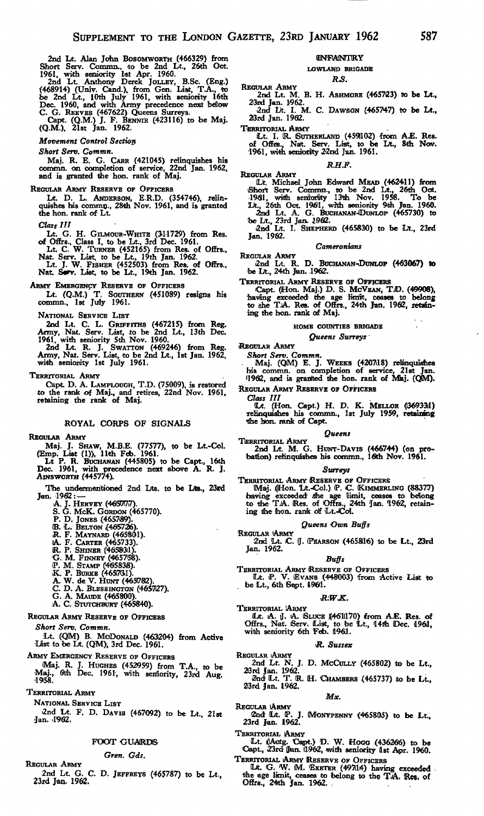2nd Lt. Alan John Bosomworrn (466329) from<br>Short Serv. Commn., to be 2nd Lt., 26th Oct.<br>1961, with seniority 1st Apr. 1960.<br>2nd Lt. Anthony Derek JoLLEY, B.Sc. (Eng.)<br>6468914 (Lt. Anthony Derek JoLLEY, B.Sc. (Eng.)<br>6e 2nd

C. G. REEVES (467622) Queens Surreys. Capt. (Q.M.) J. F. BENNIE (423116) to be Maj. (Q.M.). 21st Jan. 1962.

*Movement Control Section*

*Short Serv. Commn.*

Maj. R. E. G. CARR (421045) relinquishes his commn. on completion of service, 22nd Jan. 1962, and is granted the hon. rank of Maj.

#### REGULAR ARMY RESERVE OF OFFICERS

Lt. D. L. ANDERSON, E.R.D. (354746), relin-<br>quishes his commn., 28th Nov. 1961, and is granted •the hon. rank of Lt.

*Class HI*

Lt. G. H. GILMOUR-WHITE (311729) from Res.

of Offrs., Class I, to be Lt., 3rd Dec. 1961.<br>Lt. C. W. TURNER (452165) from Res. of Offrs.,<br>Nat. Serv. List, to be Lt., 19th Jan. 1962.<br>Lt. J. W. FisHER (452503) from Res. of Offrs.,<br>Nat. Serv. List, to be Lt., 19th Jan.

ARMY EMERGENCY RESERVE OF OFFICERS

Lt. (Q.M.) T. SOUTHERN (451089) resigns his commn., 1st July 1961.

NATIONAL SERVICE LIST

2nd Lt. C. L. GRIFFITHS (467215) from Reg.<br>Army, Nat. Serv. List, to be 2nd Lt., 13th Dec.<br>1961, with seniority 5th Nov. 1960.<br>2nd Lt. R. J. Swarron (469246) from Reg.<br>Army, Nat. Serv. List, to be 2nd Lt., 1st Jan. 1962,<br>w

TERRITORIAL ARMY

Capt. D. A. LAMPLOUGH, T.D. (75009), is restored to the rank of Maj., and retires, 22nd Nov. 1961, retaining the rank of Maj.

#### ROYAL CORPS OF SIGNALS

REGULAR ARMY

Maj. J. SHAW, M.B.E. (77577), to be Lt.-Col.<br>
(Emp. List (1)), 11th Feb. 1961.<br>
Lt P. R. BUCHANAN (445805) to be Capt., 16th<br>
Dec. 1961, with precedence next above A. R. J.<br>
AINSWORTH (445774).

The undermentioned 2nd Lts. to be Lts., *23xd* Jan. 1962: —

- 
- A. J. Hervey (4657777).<br>S. G. McK. Gordon (465770).
- P. D. Jones (465789).
- 
- 
- 
- 
- 
- 
- 
- (B. L. Belton (465726).<br>R. F. Maynard (465736).<br>A. F. Carter (465733).<br>R. P. Shiner (465733).<br>R. P. Shiner (465783).<br>G. M. Finner (465788).<br>P. M. Stamp (465731).<br>X. P. Burke (465731).<br>C. D. A. Blessington (465727).<br>G. A. M
- 
- 
- 

REGULAR ARMY RESERVE OF OFFICERS

*Short Serv. Commn.*

Lt. (QM) B. MCDONALD (463204) from Active<br>List to be Lt. (QM), 3rd Dec. 1961.

ARMY EMERGENCY RESERVE OF OFFICERS (Maj. R. J. HUGHES (452959) from T.A., to be Maj., 61th Dec. 1961, with seniority, 23rd Aug.

TERRITORIAL ARMY

NATIONAL SERVICE LIST

2nd Lt. F. D. DAVIS (467092) to be Lt., 21st Jan. '1962.

#### FOOT GUARDS

#### *Gren. Gds.*

REGULAR ARMY

2nd Lt. G. C. D. JEFFREYS (465787) to be Lt., 23rd Jan. 1962.

#### **ONFANTRY**

#### **LOWLAND BRIGADE** *R£.*

REGULAR ARMY 2nd Lt. M. B. H. ASHMORE (465723) to be Lt., 23md Jan. 1/962. 2nd L/t. I. M. C. DAWSON (465747) to be Lt.,

33nl Jan. 1962.

TERRITORIAL ARMY

Lt. I. R. SUTHERLAND (4591102) from A.E. Res.<br>of Offrs., Nat. Serv. List, to be Lt., 8th Nov.<br>1961, with seniority 22nd Jan. 1961.

#### *R.H.F.*

REGULAR ARMY<br>
Lt. Michael John Edward MEAD (462411) from<br>
Short Serv. Commn., to be 2nd Lt., 26th Oct.<br>
1961, with seniority 13th Nov. 1958. To be<br>
14., 26th Oct. 1961, with seniority 9th Jan. 1960.<br>
2nd Lt. A. G. BUCHANAN

Jan. 1962.

#### *Cameronians*

REGULAR ARMY 2nd Lt. R. D. BUCHANAN-.DUNLOP (463067) to 'be Dt., 24th Jan. .1962.

TERRITORIAL ARMY RESERVE OF OFFICERS Capt. (Hon. Maj.) D. S. McVEAN, TJD. (49908), •having exceeded the age limft, ceases to belong to the TJA. Res. of Offrs., 24th Jan. 1962, retaining the hon. rank of Maj.

#### **HOME COUNTIES BRIGADE**

*Queens Surreys '*

>REGULAR ARMY

*Short Serv. Commn.* Maj. (QM) E. J. WEEKS (420718) relinquishes his commn. on completion of service, 21st Jan. '1962, and is granted the hon. rank of Maj. (QM).

REGULAR ARMY RESERVE OF OFFICERS

Class III<br>
[Lt. (Hon. Capt.) H. D. K. MELLOR (369331)<br>
relinquishes his commn., 1st July 1959, retaining the hon. rank of Capt.

#### *Queens*

TERRITORIAL ARMY 2nd Lt. M. G. HUNT-DAVIS (466744) (on prorelinquishes his commn., 16th Nov. 1961.

#### *Surreys*

TERRITORIAL ARMY RESERVE OF OFFICERS<br>
Maj. (Hon. Lt.-Col.) P. C. KIMMERLING (88377)<br>
having exceeded the age limit, ceases to belong<br>
to the T.A. Res. of Offrs., 24th Jan. 1962, retain-<br>
ing the hon. rank of Lt.-Col.

#### *Queens Own Buffs*

REGULAR 'ARMY 2nd Lt. C. J. (PEARSON (465816) to be Lt., 23rd Jan. 1962.

#### *Buffs*

TERRITORIAL ARMY (RESERVE OF OFFICERS Lit. P. V. EVANS (448003) from Active List to be Lt., 6th Sept. 1961.

#### $R.W.K.$

TERRITORIAL ARMY Lt. A. J. A. SLUCE (461170) from A.E. Res. of<br>Offrs., Nat. Serv. List, to be Lt., 14th Dec. 1961,<br>with seniority 6th Feb. 1961.

#### *\R. Sussex*

REGULAR (ARMY<br>
2nd Lt. N. J. D. McCully (465802) to be Lt.,<br>
23rd Jan. 1962.<br>
2nd Lt. T. R. H. Chambers (465737) to be Lt.,

23rd Jan. 1962. *MX.*

REGULAR ARMY 2nd Lt. P. J. MONYPENNY (465805) to be Lt.,<br>23rd Jan. 1962.

TERRITORIAL ARMY

Lt. (Actg. Capt.) D. W. Hocc (436266) to be<br>Capt., 23rd Jan. 1962, with seniority 1st Apr. 1960.

I ERRITORIAL ARMY RESERVE OF OFFICERS<br>
Lt. G. W. M. Exstress (49714) having exceeded<br>
the age limit, ceases to belong to the T.A. Reg, of<br>
Offrs., 24th Jan. 1962.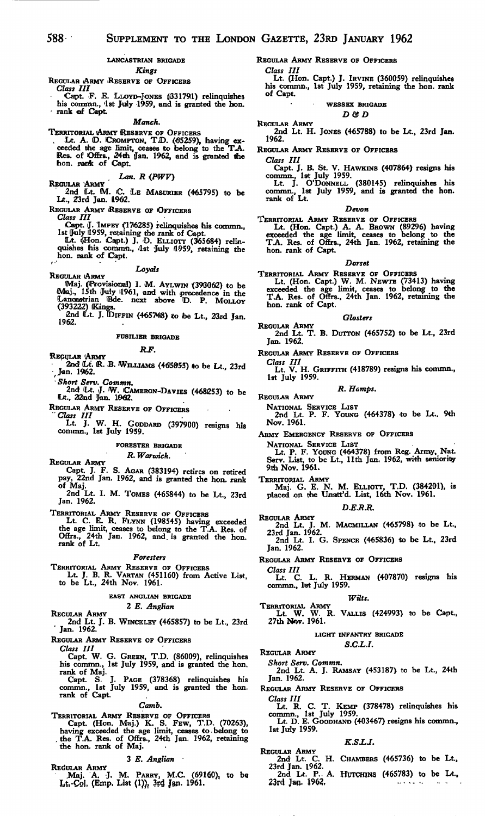#### **LANCASTRIAN BRIGADE**

#### *Kings*

- REGULAR ARMY RESERVE OF OFFICERS *Class III*
	-
- Capt. F. E. LLOYD-JONES (331791) relinquishes<br>his commn., '1st July 1959, and is granted the hon. • rank of Capt.

*Manch.*

TERRITORIAL (ARMY RESERVE OF OFFICERS<br>Lt. A. D. CROMPTON, T.D. (65259), having ex-<br>ceeded the age limit, ceases to belong to the T.A. Res. of Offrs., 24th Jan. 1962, and is granted the hon. rank of Capt.

## *Lan. R (PWV)*<br>REGULAR 'ARMY

•2nd (Lt. M. C. LE MASURIER (465795) to be LA., 23rd Jan. 1962.

REGULAR ARMY RESERVE OF OFFICERS

- 
- Class III<br>Capt. J. TMPEY (176285) relinquishes his commn.,<br>1st July 1959, retaining the rank of Capt.<br>U. (LHon. Capt.) J. D. ELLIOTT (365684) relin-<br>quishes his commn., 1st July 1959, retaining the<br>hon. rank of Capt.

*Loyals*

- REGULAR ARMY Maj. (Provisional) I. M. AYLWIN (393062) to be<br>Maj., 15th July 1961, and with precedence in the<br>Lancastrian Bde. next above D. P. MOLLOY<br>(393222) Kings.
	- 2nd ILt. J. TDiFFiN (465748) ito fee Lt., 23rd Jan. 1962.

#### **FUSILIER BRIGADE**

#### *R.F.*

- REGULAR ARMY
- 2nd (Lt. R. B. WILLIAMS (465855) to be Lt. 23rd ,Jan. 1962.
- • *Short Serv. Commn.*
- 2nd ILt. J. W. CAMERON-DAVIES (468253) to be Lrt., 22nd Jan. 1962.
- REGULAR ARMY RESERVE OF OFFICERS
	- *Class III*
	- Lt. J. W. H. GODDARD (397900) resigns his commn., 1st July 1959.

#### **FORESTER BRIGADE**

#### *R. Warwick.*

- REGULAR ARMY Capt. J. F. S. AGAR (383194) retires on retired pay, 22nd Jan. 1962, and is granted the hon. rank
- of Maj. 2nd Lt. I. M. TOMES (465844) to be Lt., 23rd Jan. 1962.

TERRITORIAL ARMY RESERVE OF OFFICERS Lt. C. E. R. FLYNN (198545) having exceeded the age limit, ceases to belong to the T.A. Res. of Offrs., 24th Jan. 1962, and is granted the hon. rank of Lt.

#### *Foresters*

- TERRITORIAL ARMY RESERVE OF OFFICERS Lt. J. B. R. VARTAN (451160) from Active List, to be Lt., 24th Nov. 1961.
- 

#### EAST ANGLIAN BRIGADE

### 2 *E. Anglian*

- 
- REGULAR ARMY 2nd Lt. J. B. WINCKLEY (465857) to be Lt., 23rd ' Jan. 1962.
- REGULAR ARMY RESERVE OF OFFICERS

*Class III*

- Capt. W. G. GREEN, T.D. (86009), relinquishes his commn., 1st July 1959, and is granted the hon. rank of Maj.
- Capt. S. J. PAGE (378368) relinquishes his commn., 1st July 1959, and is granted the hon. rank of Capt.

### *Camb.*

TERRITORIAL ARMY RESERVE OF OFFICERS Capt. (Hon. Maj.) K. S. FEW, T.D. (70263), having exceeded the age limit, ceases to.belong to . the T.A. Res. of Offrs., 24th Jan. 1962, retaining the hon. rank of Maj.

#### 3 *E. Anglian*

REGULAR ARMY<br>Maj. A. J. M. PARRY, M.C. (69160), to be<br>Lt.-Col. (Emp. List (1)), 3rd Jan. 1961.

 $\sim$ 

REGULAR ARMY RESERVE OF OFFICERS

#### *Class III*

Lt. (Hon. Capt.) J. IRVINE (360059) relinquishes his commn., 1st July 1959, retaining the hon. rank of Capt.

#### **WESSEX BRIGADE** *D& D*

REGULAR ARMY 2nd Lt. H. JONES (465788) to be Lt., 23rd Jan. 1962.

REGULAR ARMY RESERVE OF OFFICERS

*Class III*

Capt. J. B. St. V. HAWKINS (407864) resigns his commn., 1st July 1959. Lt. J. O'DoNNELL (380145) relinquishes his commn., 1st July 1959, and is granted the hon.

commn., 1st

#### *Devon*

TERRITORIAL ARMY RESERVE OF OFFICERS Lt. (Hon. Capt.) A. A. BROWN (89296) having exceeded the age limit, ceases to belong to the T.A. Res. of Offrs., 24th Jan. 1962, retaining the hon. rank of Capt.

#### *Dorset*

TERRITORIAL ARMY RESERVE OF OFFICERS Lt. (Hon. Capt.) W. M. NEWTE (73413) having exceeded the age limit, ceases to belong to the T.A. Res. of Offrs., 24th Jan. 1962, retaining the hon. rank of Capt.

#### *Glosters*

- REGULAR ARMY 2nd Lt. T. B. DUTTON (465752) to be Lt., 23rd Jan. 1962.
- REGULAR ARMY RESERVE OF OFFICERS

*Class III* Lt. V. H. GRIFFITH (418789) resigns his commn., 1st July 1959.

#### *R. Hamps.*

REGULAR ARMY

NATIONAL SERVICE LIST 2nd Lt. P. F. YOUNG (464378) to be Lt., 9th Nov. 1961.

- ARMY EMERGENCY RESERVE OF OFFICERS
	- NATIONAL SERVICE LIST Lt. P. F. YOUNG (464378) from Reg. Army. Nat. Serv. List, to be Lt., llth Jan. 1962, with seniority 9th Nov. 1961.

TERRITORIAL ARMY Maj. G. E. N. M. ELLIOTT, T.D. (384201), is placed on the Unaitt'd. List, 16th Nov. 1961.

#### *D.E.R.R.*

REGULAR ARMY 2nd Lt. J. M. MACMILLAN (465798) to be Lt.. 23rd Jan. 1962. 2nd Lt. I. G. SPENCE (465836) to be Lt., 23rd Jan. 1962.

REGULAR ARMY RESERVE OF OFFICERS

*Class III*

HERMAN (407870) resigns his Lt. C. L. R. HE<br>commn., 1st July 1959.

#### *Wilts.*

TERRITORIAL ARMY Lt. W. W. R. VALLIS (424993) to be Capt., 27th Nw. 1961.

#### LIGHT INFANTRY BRIGADE

*S.C.L.I.*

REGULAR ARMY

*Short Serv. Commn.* 2nd Lt. A. J. RAMSAY (453187) to be Lt., 24th Jan. 1962.

- REGULAR ARMY RESERVE OF OFFICERS
	- *Class III*
	- Lt. R. C. T. KEMP (378478) relinquishes his<br>commn., 1st July 1959.<br>Lt. D. E. GOODHAND (403467) resigns his commn.,
	- 1st July 1959.

#### *K.S.LJ.*

REGULAR ARMY 2nd Lt. C. H. CHAMBERS (465736) to be Lt., 23rd Jan. 1962.  $P_{12}$  A. HUTCHINS (465783) to be Lt., 2nd Lt. P.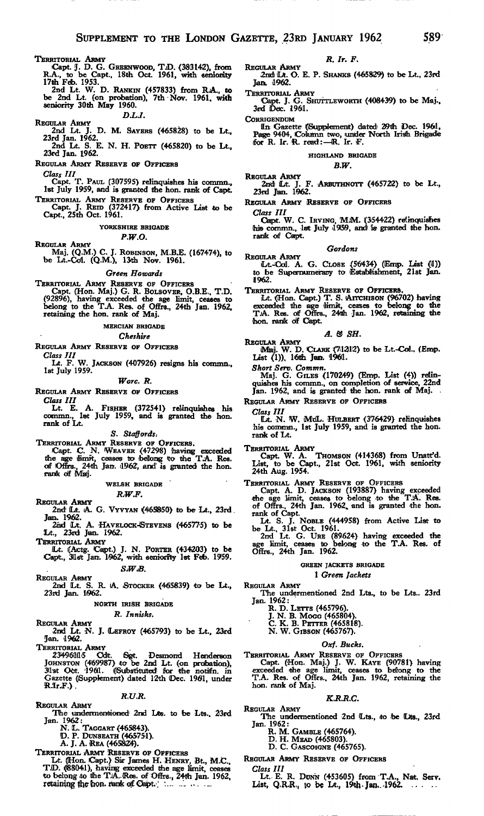- TERRITORIAL ARMY<br>
Capt. J. D. G. GREENWOOD, T.D. (383142), from<br>
R.A., to be Capt., 18th Oct. 1961, with seniority<br>
17th Feb. 1953.
	- 2nd Lt. W. D. RANKIN (457833) from RjA., to be 2nd Lt. (on probation), 7th Nov. 1961. with seniority 30th May 1960.

*D.L.I.*

REGULAR ARMY 2nd Lt. J. D. M. SAVERS (465828) to be Lt., 23rd Jan. 1962.

2nd Lt. S. E. N. H. POETT (465820) to be Lt., 23rd Jan. 1962.

REGULAR ARMY RESERVE OF OFFICERS

*Class III* Capt. T. PAUL (307595) relinquishes his commn., 1st July 1959, and is granted the hon. rank of Capt.

TERRITORIAL ARMY RESERVE OF OFFICERS Capt. J. REID (372417) from Active List to be Capt., 25th Oct. 1961.

**YORKSHIRE BRIGADE**

#### *P.W.O.*

- REGULAR ARMY
- Maj. (Q.M.) C. J. ROBINSON, M.B.E. (167474), to<br>be Lt.-Col. (Q.M.), 13th Nov. 1961.

#### *Green Howards*

TERRITORIAL ARMY RESERVE OF OFFICERS Capt. (Hon. Maj.) G. R. BOLSOVER, O.B.E., T.D. (92896), having exceeded the age limit, ceases to belong to the T.A. Res. of Offrs., 24th Jan. 1962, retaining the hon. rank of Maj.

**MERCIAN BRIGADE**

#### *Cheshire*

REGULAR ARMY RESERVE OF OFFICERS

*Class III*<br>Lt. F. W. JACKSON (407926) resigns his commn.,<br>1st July 1959.

#### *Wore. R.*

REGULAR ARMY RESERVE OF OFFICERS

Class III<br>
Lt. E. A. FISHER (372541) relinquishes his<br>
commn., 1st July 1959, and is granted the hon.<br>
rank of Lt.

#### *S. Staffords:*

TERRITORIAL ARMY RESERVE OF OFFICERS.<br>Capt. C. N. WEAVER (47298) having exceeded<br>the age limit, ceases to belong to the T.A. Res. of Offrs., 24th Jan. 1962, and is granted the hon. rank df Mialj.

#### **WELSH BRIGADE**

#### *R.W.F.*

- REGULAR ARMY<br>2nd- Lt. A. G. Vyvyan (465850) to be Lt., 23rd. Jam. 1962.
- 2nd Lt. A. HAVELOCK-STEVENS (465775) to be Lt., 23«od Jain. 1962.
- TERRITORIAL ARMY
- fLt. [(Aetg. Caipt.) J. N. PORTER (434203) to be Capt., 3llslt Jan. 1\$62, with seniority 1st Feb. 1959.

*SW.B.*

REGULAR ARMY 2nd (Lt. S. R. lA. STOCKER (465839) to be Lt., 23rd Jan. 1962.

### **NORTH IRISH BRIGADE**

### *R. Innisks\**

REGULAR ARMY 2nd Lt. N. J. ILEFROY (465793) to be Lt.. 23rd Jan. 1962.

TERRITORIAL ARMY

234961115 Cdt. Sgt. Desmond Henderson<br>JOHNSTON (469987) to be 2nd Lt. (on probation),<br>31st Oct. 1961. (Substituted for the notifn. in<br>Gazette (Supplement) dated 12th Dec. 1961, under<br>R.Ir.F.)

#### *R.U.R.*

- REGULAR ARMY The undermentioned 2nd Lts. to be Lts., 23rd 1962:<br>Jan. 1962:<br>N. L. TAGGART (465843).<br>D. P. DUNSEATH (465751).<br>A. J. A. REA (465824).
	-
	-
	-
- TERRITORIAL ARMY RESERVE OF OFFICERS<br>Lt. ([Hon. Capt.) Sir James H. HENRY, Bt., M.C.,<br>T.D. ([880441), having exceeded the age limit, ceases<br>to belong to the T.A. (Res. of Offrs., 24th Jan. 1962,<br>retaining the fron. rank o

#### *R. Ir. F.*

- REGULAR ARMY 2nidi Ut. O. E. P. SHANKS (465829) to be Lt., 23rd Jan. 1962.
- 
- TERRITORIAL ARMY 'Capt. J. G. SHUTTLEWORTH (408439) to be Maj., 3rd Det. 1961.

**CORRIGENDUM** 

In Gazette (Supplement) dated 29th Dec. 1961,<br>Page 9404, Column two, under North Irish Brigade<br>for R. Ir. R. read: — R. Ir. F.

#### **HIGHLAND BRIGADE**

#### *B.W.*

REGULAR ARMY 2ndi (Lit. J. F. ARBUTHNOTT (465722) to be Lt., 23rd Jan. 1962.

REGULAR ARMY RESERVE OF OFFICERS

*Class III* Capt. W. C. IRVING, M.M. (354422) relinquishes<br>this commn., let July 1959, and is granted the hon. rank of Capt.

#### *Gordons*

REGULAR ARMY<br>Lt.-Col. A. G. CLOSE (56434) (Emp. List (il))<br>to be Supernumerary to Establishment, 21st Jan. 1962.

TERRITORIAL ARMY RESERVE OF OFFICERS.<br>
Lt. (Hon. Capt.) T. S. AITCHISON (96702) having<br>
exceeded: the aige limit, ceases to belong to the<br>
T.A. Res. of Offrs., 24th Jan. 1962, retaining the<br>
thon. rank of Capt.

#### *A. & SH.*

REGULAR ARMY<br>Maj. W. D. CLARK (71212) to be Lt.-Col., (Emp. List (1)). 16Hh Jan. 1961.

*Short Serv, Commn.* Maj. G. GILES (170249) (Emp. List (4)) relin-quishes his commn., on completion of service, 22nd quishes his commn., on completion of service, 22nd Jan. 1962, and is granted the hon. rank of Maj.

REGULAR ARMY RESERVE OF OFFICERS

*Class III*

Lt. N. W. MoL. HULBERT (376429) relinquishes his commn., 1st July 1959, and is granted the hon. rank of Lt.

TERRITORIAL ARMY<br>Capt. W. A. THOMSON (414368) from Unatt'd.<br>List, to be Capt., 21st Oct. 1961, with seniority<br>24th Aug. 1954.

TERRITORIAL ARMY RESERVE OF OFFICERS Capt. A. D. JACKSON (193887) having exceeded the age limit, ceases to belong to the T.A. Res. of Offrs., 24th Jan. 1962.. and is granted the hon. rank of Capt.

Lt. S. J. NOBLE (444958) from Active List to be Lt.. 31st Oct. 1961. 2nd Lt. G. URE (89624) having exceeded the age limit, ceases to belong to the T.A. Res. of

Offrs., 24th Jan. 1962.

#### GREEN JACKETS BRIGADE

#### 1 *Green Jackets*

REGULAR ARMY

- The undermentioned 2nd Lts., to be Lts.. 23rd Jan. 1962: R. D. LETTS (465796). J. N. B. MOCG (465804). C. K. B. FETTER (465818).
	-
	-
	- N. W. GIBSON (465767).

### *Oxf. Bucks.*

TERRITORIAL ARMY RESERVE OF OFFICERS<br>
Capt. (Hon. Maj.) J. W. KAYE (90781) having<br>
exceeded the age limit, ceases to belong to the<br>
T.A. Res. of Offrs., 24th Jan. 1962, retaining the<br>
hon. rank of Maj.

#### *K.R.R.C.*

- REGULAR ARMY The undermentioned 2nd Lts., to be Lts., 23rd Jan. 1962: R. M. GAMBLE (465764). D. H. MEAD (465803).
	-
	- D. C. GASCOIGNE (465765).

REGULAR ARMY RESERVE OF OFFICERS

*Class III* Lt.. E. R. DUNN (453605) from T.A., Nat. Serv, List, Q.R.R., to be Lt., 19th Jan. 1962.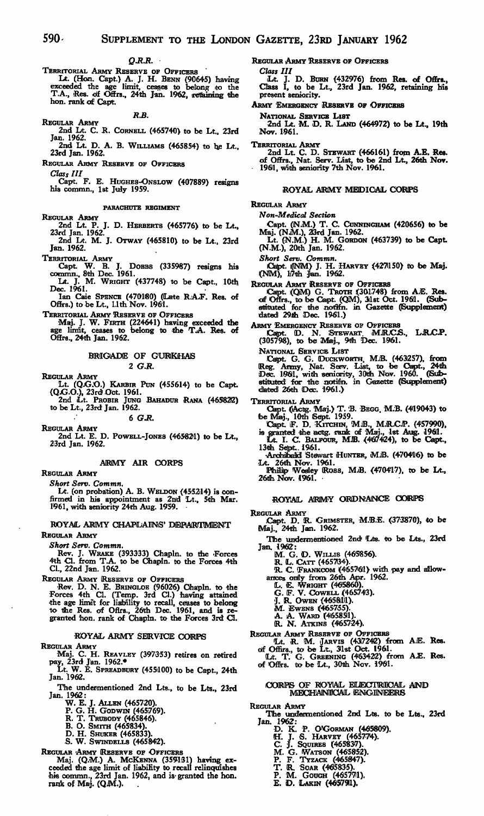#### $Q.R.R.$

TERRITORIAL ARMY RESERVE OF OFFICERS<br>Lt. (Hon. Capt.) A. J. H. BENN (90645) having<br>exceeded the age limit, ceases to belong to the<br>T.A., Res. of Offrs., 24th Jan. 1962, rettaining the hon. rank of Capt.

*R.B.*<br>
2nd Lt. C. R. CORNELL (465740) to be Lt., 23rd<br>
Jan. 1962. 2nd Lt. D. A. B. WILLIAMS (465854) to he Lt.,

23rd Jan. 1962.

REGULAR ARMY RESERVE OF OFFICERS

*Class III* Capt. F. E. HUGHES-ONSLOW (407889) resigns his commn., 1st July 1959.

PARACHUTE REGIMENT

REGULAR ARMY

2nd Lt. P. J. D. HERBERTS (465776) to be Lt., 23rd Jan. 1962. 2nd Lt. M. J. OTWAY (465810) to be Lt., 23rd

Jan. 1962.

TERRITORIAL ARMY Capt. W. B. J. DOBBS (335987) resigns his commn., 8th Dec. 1961.

Lt. J. M. WRIGHT (437748) to be Capt., 10th Lt. J. N.<br>Dec. 1961.

Ian Caie SPENCE (470180) (Late R.A.F. Res. of<br>Offrs.) to be Lt., 1.1th Nov. 1961.

TERRITORIAL ARMY RESERVE OF OFFICERS

Maj. J. W. FIRTH (224641) having exceeded the age limit, ceases to belong to the T.A. Res. of Offrs., 24th Jan. 1962.

#### BRIGADE OF GURKHAS 2 *G.R.*

Regular Army<br>Lt. (Q.G.O.) Karbir Pun (455614) to be Capt.<br>(Q.G.O.), 23rd Oct. 1961.<br>2nd Lt. Probir Jung Bahadur Rana (465822)

to be Lt., 23rd Jan. 1962.

6 G.R.

REGULAR ARMY 2nd Lt. E. D. POWELL-JONES (465821) to be Lt., 23rd Jan. 1962.

### ARMY AIR CORPS

REGULAR ARMY

*Short Serv. Commn.* Lt. (on probation) A. B. WELDON (455214) is con-firmed in his appointment as 2nd 'Lt., 5th Mar. 1961, with seniority 24th Aug. 1959.

ROYAL ARMY CHAPLAINS' DEPARTMENT REGULAR ARMY

*Short Serv. Commn.*

Rev. J. WRAKE (393333) Chapln. to the Forces 4th Cl. from T.A. to be Chapln. to the Forces 4th Cl., 22nd Jan. 1962.

REGULAR ARMY (RESERVE OF OFFICERS Rev. D. N. E. BRINGLOE (96026) Chapln. to the Forces 4th Cl. (Temp. 3rd Cl.) having attained •the age limit for liability to recall, ceases to belong to tihe Res. of Oflrs., 26th Dec. 1961, and is re-granted 'hon. rank of Chapln. to the Forces 3rd O.

## ROYAL ARMY SERVICE CORPS

REGULAR ARMY

Maj. C. H. REAVLEY (397353) retires on retired<br>pay, 23rd Jan. 1962.\*

Lt. W. E. SPREADBURY (455100) to be Capt., 24th Jan. 1962.

The undermentioned 2nd Lts., to be Lts., 23rd Jan. 1962: W. E. J. ALLEN (465720). P. G. H. GODWIN (465:769). R. T. TRUBODY (465846).

- 
- B. O. SMITH (465834). D. H. SHUKER (465833).

S. W. SWINDELLS (465842).

REGULAR ARMY (RESERVE OF OFFICERS Maj. (Q.M.) A. McKENNA (359131) having exceeded the age limit of liability to recall relinquishes his commn., 23rd Jan. 1962, and is granted the hon. rank of Maj. (QJM.).

REGULAR ARMY RESERVE OF OFFICERS

Class III ILt. J. D. BURN {432976) from Res. of Offrs., Class I, to be Lt., 23rd Jan. 1962, retaining his present seniority.

ARMY EMERGENCY RESERVE OF OFFICERS

National Service List<br>2nd Lt. M. D. R. Land (464972) to be Lt., 19th<br>Nov. 1961.

TERRITORIAL ARMY 2nd Lt. C. D. STEWART (466161) from A.E. Res. of Offrs., Nat. Serv. List, to 'be 2nd Lt., 26th Nov. 1961, with seniority 7th Nov. 1961.

#### ROYAL ARMY MiEDICAiL CORPS

REGULAR ARMY

*Non-Medical Section*

Capt. (N.M.) T. C. CUNNINGHAM (420656) to be<br>Maj. (N.M.), 23rd Jan. 1962.<br>Lt. (N.M.) H. M. GORDON (463739) to be Capt.

(N.M.), 20th Jan. 1962.

*Short Serv. Commn.*

Capt. ((NM) J. H. HARVEY (427150) to be Maj. (MM), Ii7tih Jan. 1962.

REGULAR ARMY RESERVE OF OFFICERS<br>Capt. (QM) G. TROTH (301748) from A.E. Res.<br>of Offrs., to be Capt. (QM), 31st Oct. 1961. (Sub-<br>stituted for the notifn. in Gazette (Supplement) dated 29th Dec. 1961.)

ARMY EMERGENCY RESERVE OF OFFICERS<br>Capt. D. N. STEWART M.R.C.S., L.R.C.P.<br>(305798), to be Maj., 9th Dec. 1961.

NATIONAL SERVICE LIST

Capt. G. G. DUCKWORTH, M.B. (463257), from<br>Reg. Army, Nat. Senv. List, to be Capt., 24th Dec. 1961, with seniority, 30th Nov. 1960. (Sub-<br>stituted for the notific. in Gazette (Supplement)<br>dated 26th Dec. 1961.)

- 
- TERRITORIAL ARMY<br>Capt. ((Actg. Maj.) T. B. BEGG, M.B. (419043) to<br>be Maj., 10th Sept. 1959.<br>Capt. F. D. KITCHIN, M.B., M.R.C.P. (457990),<br>is granted the actg. rank of Maj., 1st Aug. 1961.<br>Lt. I. C. BALFOUR, M.B. (467424),
	- 13th Sept. 1961.<br>• Archibalid Stewart HUNTER, M.B. (470416) to be

Lt. 26th Nov. 1961.<br>Philip Wesley Ross, M.B. (470417), to be Lt.,

26th Nov. 1961. •

### ROYAL ARMY ORDNANCE CORPS

REGULAR ARMY

Capt. D. R. GRIMSTER, M.B.E. (373870), to be Maj., 24th Jan. 1962.

The undermentioned 2nd Lts. to be Lts., 23rd Jan. 1962:

- 
- 

M. G. D. WILLIS (465856).<br>
R. L. CATT (465734).<br>
R. C. FRANKCOM (465761) with pay and allow-<br>
ances only from 26th Apr. 1962.<br>
L. E. WRIGHT (465860).<br>
G. F. V. COWELL (465743).

- 
- 
- 
- 
- J. R. Owen (4658111).<br>M. Ewens (465755).<br>A. A. Ward (465851).<br>R. N. Atkins (465724).

REGULAR ARMY RESERVE OF OFFICERS<br>
(Lt. R. M. JARVIS (43/7242) from A.E. Res.<br>
of Offirs., to be Lt., 31st Oct. 1961.<br>
(Lt. T. G. GREENING (463422) from A.E. Res.<br>
of Offrs. to be Lt., 30th Nov. 1961.

## CORPIS OF ROYAL ELECTRICAL AND<br>MECHANICAL ENGINEERS

REGULAR ARMY

The undermentioned 2nd Lts. to be Lts., 23rd<br>Jan. 1962:

- D. K. P. O'Gorman (465809).<br>H. J. S. Harvey (465774).<br>C. J. Squires (465837).
- 
- -
- M. G. Watson (465852).<br>P. F. Tyzack (465847).<br>T. R. Soar (465835).
- 
- P. M. GOUGH (4657711).
- E. D. LAKIN **(465791).**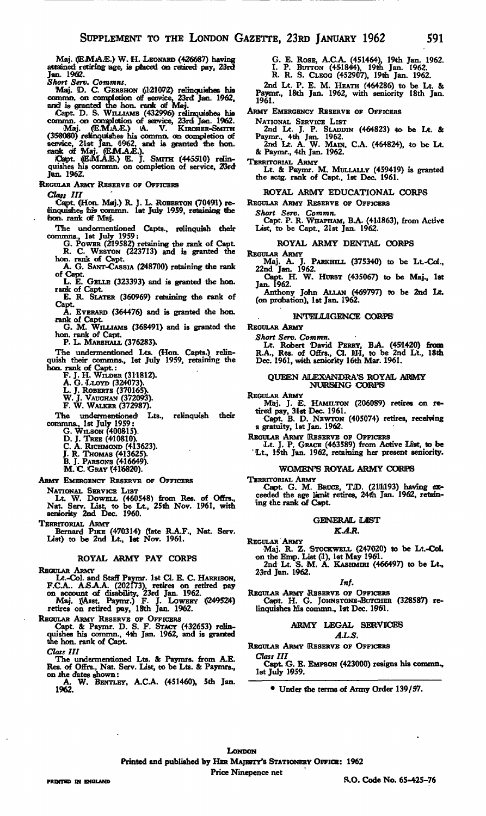Maj. (EM.A.E.) W. H. LEONARD (426687) having attained retiring age, is placed on retired pay, 23rd Jan. 1962. *Short Serv. Commits.*

Maj. D. C. GERSHON (121072) relinquishes his<br>comma, on completion of service, 23rd Jan. 1962,<br>and is granted the hon. rank of Maj.

Capt. D. S. WILLIAMS (432996) relinquishes his commn. on completion of service, 23rd Jan. 1962.<br>Maj. (E.M.A.E.) A. V. KIRCHER-SMITH<br>(358080) relinquishes his commn. on completion of<br>(358080) relinquishes his commn. on comp

quishes his oonmin. on completion of service, 23rd Jan. 1962.

REGULAR ARMY RESERVE OF OFFICERS

*Clays HI*

Capt. (Hon. Maj.) R. J. L. ROBERTON (70491) re-<br>linquishes his commn. let July 1959, retaining the hon. rank of Maij.

The undermentioned Capts., relinquish (hear commns., 1st July 1959:

G. POWER (219582) retaining the rank of Capt. R. C. WESTON (223713) and is granted the hon. rank of Capt. A. G. SANT-CASSIA (248700) retaining ihe rank

of Capt.<br>L. E. GELLE (323393) and is granted the hon.

rank of Capt. E. R. SLATER (360969) retaining the rank of

Capt.

A. EVERARD (364476) and is granted the hon. rank of Capt.<br>
G. M. WILLIAMS (368491) and is granted the

hon. rank of Capit.

P. L. MARSHALL (376283).

The undermentioned Lts. (Hon. Capts.) relin-quish their commns., 1st July 1959, retaining the Hon. rank of Capt.: F. J. H. WILDER (311812).

A. G. LLOYD (324073). L. J. ROBERTS (370165). W. J. VAUOHAN (372093). F. W. WALKER (372987).

The undermentionedi Lts., relinquish their commns., 1st July 1959:<br>
G. WILSON (400815).<br>
D. J. TREE (410810).<br>
C. A. RICHMOND (413623).<br>
J. R. THOMAS (413625).<br>
B. J. PARSONS (416649).

M. C. GRAY (4U6820).

ARMY EMERGENCY RESERVE OF OFFICERS

NATIONAL SERVICE LIST Lt. W. DOWELL (460548) from Res. of Oflrs., Nat. Serv. List, to be Lt., 25th Nov. 1961, with seniority 2nd Dec. 1960.

TERRITORIAL ARMY Bernard PIKE (470314) (late R.A.F., Nat. Serv. List) to be 2nd Lt., 1st Nov. 1961.

### ROYAL ARMY PAY CORPS

REGULAR ARMY<br>
Lt.-Col. and Staff Paymr. 1st Cl. E. C. HARRISON,<br>
F.C.A.. A.S.A.A. (202173), retires on retired pay<br>
on account of disability, 23rd Jan. 1962.<br>
Maj. ((Asst. Paymr.) F. J. LOWERY ((249524)

retires on retired pay, 18th Jan. 1962.

REGULAR ARMY RESERVE OF OFFICERS Capt. & Paymr. D. S. F. STACY (432653) relin-quishes his oommn., 4th Jan. 1962, and is granted the hon. rank of Capt.

*Class III*

The undermentioned Lts. & Paymrs. from A.E. Res. of Offrs., Nat. Serv. List, to be Lts. & Paymrs., on .the dates shown: A. W. BENTLEY, A.C.A. (451460), 5th Jan.

1962.

G. E. ROSE, A.C.A. (451464), 19th Jan. 1962. I. P. BUTTON (451844). 19th Jan. 1962.

R. R. S. CLEGG (452907), 19th Jan. 1962.

2nd Lt. P. E. M. HEATH (464286) to be Lt. & Paymr., 18ith Jan. 1962, with seniority 18th Jan. 1961.

ARMY EMERGENCY RESERVE OF OFFICERS

NATIONAL SERVICE LIST

2nd Lt. J. P. SLADDIN (464823) to be Lt. & Paymr., 4th Jan. 1962. 2nd Lt. A. W. MAIN, C.A. (464824), to be Lt. & Paymr., 4th Jan. 1962.

TERRITORIAL ARMY Lt. & Paymr. M, MULLALLY (459419) is granted the actg. rank of Capt., 1st Dec. 1961.

#### ROYAL ARMY EDUCATIONAL CORPS

REGULAR ARMY RESERVE OF OFFICERS

Short Serv. Commn.<br>Capt. P. R. WHAPHAM, B.A. (411863), from Active<br>List, to be Capt., 21st Jan. 1962.

#### ROYAL ARMY DENTAL CORPS

REGULAR ARMY Maj. A. J. PARKHILL (375340) to be Lt.-Cofl., 22nd Jan. 1962. Capt. H. W. HURST (436067) to be Maj., 1st

Jan. 1962.

Anthony John ALLAN (469797) to be 2nd Lt. (on probation), 1st Jan. 1962.

#### INTELLIGENCE CORPS'

REGULAR ARMY

*Short Serv. Commn.* Lt. Robert David PERRY, B.A. (451420) from<br>R.A., Res. of Offrs., Cl. III, to be 2nd Lt., 18th<br>Dec. 1961, with seniority 16th Mar. 1961.

## QUEEN ALEXANDRA'S ROYAL ARMY NORISENG CORPS

REGULAR ARMY

Maj. J. E. HAMILTON (206089) retires on retired pay, 31st Dec. 1961.<br>Capt. B. D. NEWTON (405074) retires, receiving

a gratuity, 1st Jan. 1962.

REGULAR ARMY (RESERVE OF OFFICERS Lt. J. P. GRACE (463589) from Active List, to be ' Lt., 1'Sth Jan. 1962, retaining her present seniority.

#### WOMEN'S ROYAL ARMY CORPS

TERRITORIAL ARMY

Capt. G. M. BRUCE, T.D. (2111193) having ex-<br>ceeded the age limit retires, 24th Jan. 1962, retaining the rank of Capt.

#### **GENERAL LIST**

#### *KA.R.*

REGULAR ARMY Maj. R. Z. STOCKWBLL (247020) to be Lt.-Col.<br>on the Emp. List (1), 1st May 1961.<br>2nd Lt. S. M. A. KASHMIRI (466497) to be Lt.,

23rd Jan. 1962.

#### *Inf.*

Regular Army Reserve of Officers<br>Capt. H. G. Johnstone-Butcher (328587) relinquishes his commn., 1st Dec. *1961.*

#### ARMY LEGAL SERVICES *A.L.S.*

REGULAR ARMY RESERVE OF OFFICERS

*Class III*

E. EMPSON (423000) resigns his commn., 1st July 1959.

• Under the terms of Army Order 139/57.

**LONDON** Printed and published by HER MAJESTY'S STATIONERY OFFICE: 1962 Price Ninepence net